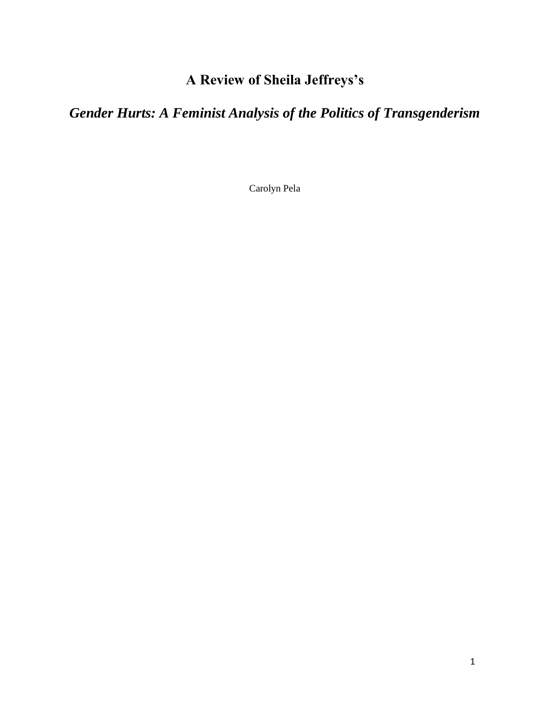# **A Review of Sheila Jeffreys's**

# *Gender Hurts: A Feminist Analysis of the Politics of Transgenderism*

Carolyn Pela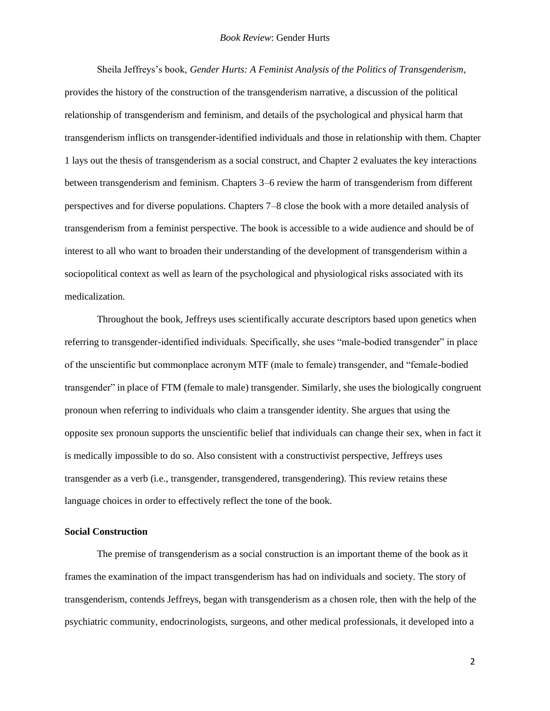#### *Book Review*: Gender Hurts

Sheila Jeffreys's book, *Gender Hurts: A Feminist Analysis of the Politics of Transgenderism*, provides the history of the construction of the transgenderism narrative, a discussion of the political relationship of transgenderism and feminism, and details of the psychological and physical harm that transgenderism inflicts on transgender-identified individuals and those in relationship with them. Chapter 1 lays out the thesis of transgenderism as a social construct, and Chapter 2 evaluates the key interactions between transgenderism and feminism. Chapters 3–6 review the harm of transgenderism from different perspectives and for diverse populations. Chapters 7–8 close the book with a more detailed analysis of transgenderism from a feminist perspective. The book is accessible to a wide audience and should be of interest to all who want to broaden their understanding of the development of transgenderism within a sociopolitical context as well as learn of the psychological and physiological risks associated with its medicalization.

Throughout the book, Jeffreys uses scientifically accurate descriptors based upon genetics when referring to transgender-identified individuals. Specifically, she uses "male-bodied transgender" in place of the unscientific but commonplace acronym MTF (male to female) transgender, and "female-bodied transgender" in place of FTM (female to male) transgender. Similarly, she uses the biologically congruent pronoun when referring to individuals who claim a transgender identity. She argues that using the opposite sex pronoun supports the unscientific belief that individuals can change their sex, when in fact it is medically impossible to do so. Also consistent with a constructivist perspective, Jeffreys uses transgender as a verb (i.e., transgender, transgendered, transgendering). This review retains these language choices in order to effectively reflect the tone of the book.

# **Social Construction**

The premise of transgenderism as a social construction is an important theme of the book as it frames the examination of the impact transgenderism has had on individuals and society. The story of transgenderism, contends Jeffreys, began with transgenderism as a chosen role, then with the help of the psychiatric community, endocrinologists, surgeons, and other medical professionals, it developed into a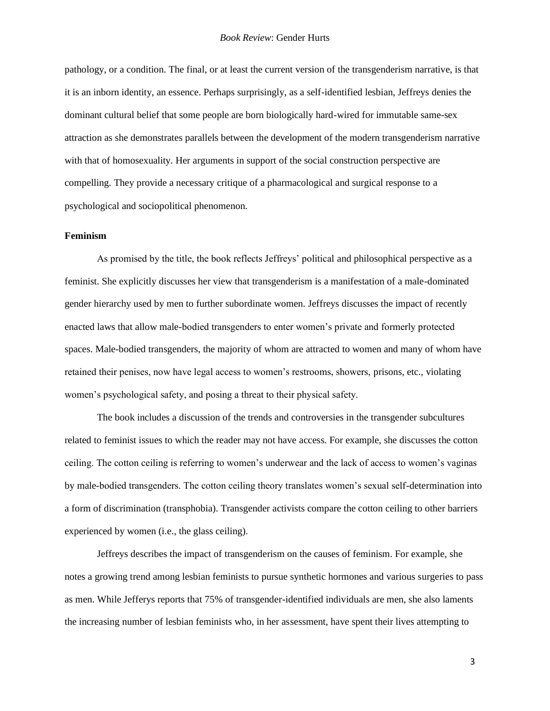pathology, or a condition. The final, or at least the current version of the transgenderism narrative, is that it is an inborn identity, an essence. Perhaps surprisingly, as a self-identified lesbian, Jeffreys denies the dominant cultural belief that some people are born biologically hard-wired for immutable same-sex attraction as she demonstrates parallels between the development of the modern transgenderism narrative with that of homosexuality. Her arguments in support of the social construction perspective are compelling. They provide a necessary critique of a pharmacological and surgical response to a psychological and sociopolitical phenomenon.

### **Feminism**

As promised by the title, the book reflects Jeffreys' political and philosophical perspective as a feminist. She explicitly discusses her view that transgenderism is a manifestation of a male-dominated gender hierarchy used by men to further subordinate women. Jeffreys discusses the impact of recently enacted laws that allow male-bodied transgenders to enter women's private and formerly protected spaces. Male-bodied transgenders, the majority of whom are attracted to women and many of whom have retained their penises, now have legal access to women's restrooms, showers, prisons, etc., violating women's psychological safety, and posing a threat to their physical safety.

The book includes a discussion of the trends and controversies in the transgender subcultures related to feminist issues to which the reader may not have access. For example, she discusses the cotton ceiling. The cotton ceiling is referring to women's underwear and the lack of access to women's vaginas by male-bodied transgenders. The cotton ceiling theory translates women's sexual self-determination into a form of discrimination (transphobia). Transgender activists compare the cotton ceiling to other barriers experienced by women (i.e., the glass ceiling).

Jeffreys describes the impact of transgenderism on the causes of feminism. For example, she notes a growing trend among lesbian feminists to pursue synthetic hormones and various surgeries to pass as men. While Jefferys reports that 75% of transgender-identified individuals are men, she also laments the increasing number of lesbian feminists who, in her assessment, have spent their lives attempting to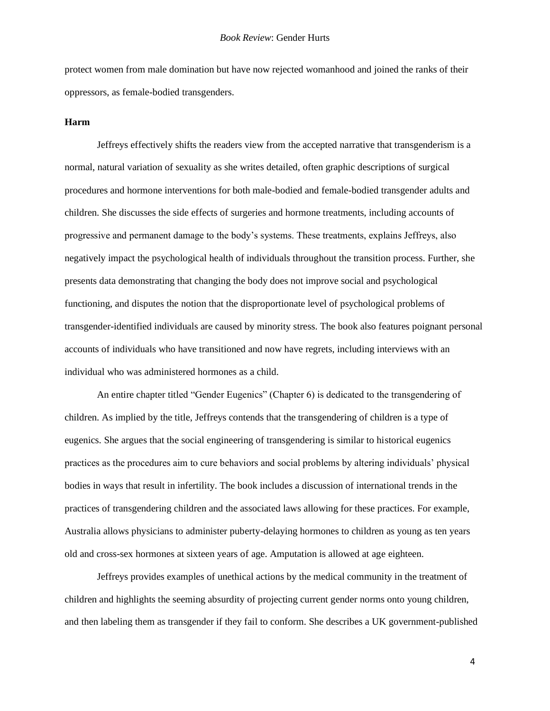protect women from male domination but have now rejected womanhood and joined the ranks of their oppressors, as female-bodied transgenders.

## **Harm**

Jeffreys effectively shifts the readers view from the accepted narrative that transgenderism is a normal, natural variation of sexuality as she writes detailed, often graphic descriptions of surgical procedures and hormone interventions for both male-bodied and female-bodied transgender adults and children. She discusses the side effects of surgeries and hormone treatments, including accounts of progressive and permanent damage to the body's systems. These treatments, explains Jeffreys, also negatively impact the psychological health of individuals throughout the transition process. Further, she presents data demonstrating that changing the body does not improve social and psychological functioning, and disputes the notion that the disproportionate level of psychological problems of transgender-identified individuals are caused by minority stress. The book also features poignant personal accounts of individuals who have transitioned and now have regrets, including interviews with an individual who was administered hormones as a child.

An entire chapter titled "Gender Eugenics" (Chapter 6) is dedicated to the transgendering of children. As implied by the title, Jeffreys contends that the transgendering of children is a type of eugenics. She argues that the social engineering of transgendering is similar to historical eugenics practices as the procedures aim to cure behaviors and social problems by altering individuals' physical bodies in ways that result in infertility. The book includes a discussion of international trends in the practices of transgendering children and the associated laws allowing for these practices. For example, Australia allows physicians to administer puberty-delaying hormones to children as young as ten years old and cross-sex hormones at sixteen years of age. Amputation is allowed at age eighteen.

Jeffreys provides examples of unethical actions by the medical community in the treatment of children and highlights the seeming absurdity of projecting current gender norms onto young children, and then labeling them as transgender if they fail to conform. She describes a UK government-published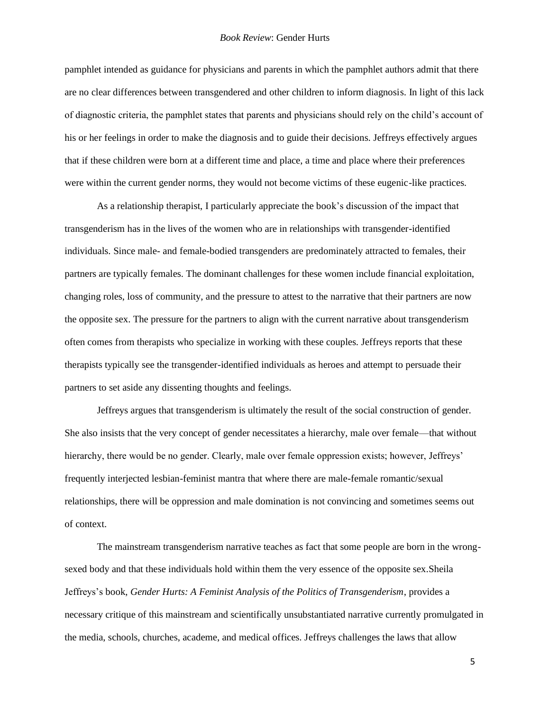## *Book Review*: Gender Hurts

pamphlet intended as guidance for physicians and parents in which the pamphlet authors admit that there are no clear differences between transgendered and other children to inform diagnosis. In light of this lack of diagnostic criteria, the pamphlet states that parents and physicians should rely on the child's account of his or her feelings in order to make the diagnosis and to guide their decisions. Jeffreys effectively argues that if these children were born at a different time and place, a time and place where their preferences were within the current gender norms, they would not become victims of these eugenic-like practices.

As a relationship therapist, I particularly appreciate the book's discussion of the impact that transgenderism has in the lives of the women who are in relationships with transgender-identified individuals. Since male- and female-bodied transgenders are predominately attracted to females, their partners are typically females. The dominant challenges for these women include financial exploitation, changing roles, loss of community, and the pressure to attest to the narrative that their partners are now the opposite sex. The pressure for the partners to align with the current narrative about transgenderism often comes from therapists who specialize in working with these couples. Jeffreys reports that these therapists typically see the transgender-identified individuals as heroes and attempt to persuade their partners to set aside any dissenting thoughts and feelings.

Jeffreys argues that transgenderism is ultimately the result of the social construction of gender. She also insists that the very concept of gender necessitates a hierarchy, male over female—that without hierarchy, there would be no gender. Clearly, male over female oppression exists; however, Jeffreys' frequently interjected lesbian-feminist mantra that where there are male-female romantic/sexual relationships, there will be oppression and male domination is not convincing and sometimes seems out of context.

The mainstream transgenderism narrative teaches as fact that some people are born in the wrongsexed body and that these individuals hold within them the very essence of the opposite sex.Sheila Jeffreys's book, *Gender Hurts: A Feminist Analysis of the Politics of Transgenderism*, provides a necessary critique of this mainstream and scientifically unsubstantiated narrative currently promulgated in the media, schools, churches, academe, and medical offices. Jeffreys challenges the laws that allow